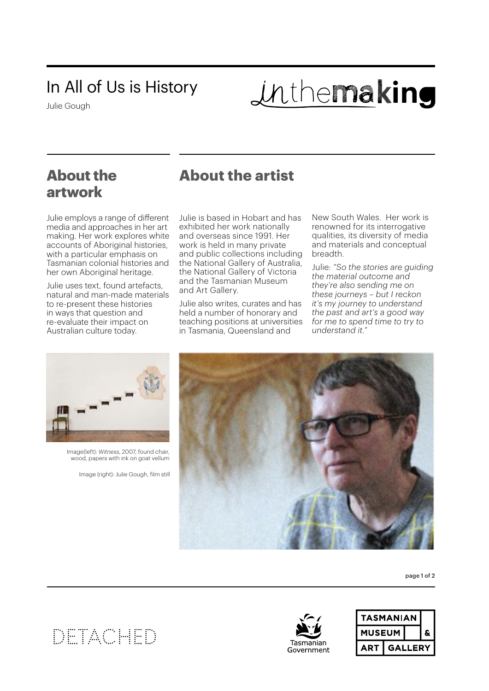## In All of Us is History

Julie Gough

# inthemaking

## **About the artwork**

## **About the artist**

Julie employs a range of different media and approaches in her art making. Her work explores white accounts of Aboriginal histories, with a particular emphasis on Tasmanian colonial histories and her own Aboriginal heritage.

Julie uses text, found artefacts, natural and man-made materials to re-present these histories in ways that question and re-evaluate their impact on Australian culture today.

Julie is based in Hobart and has exhibited her work nationally and overseas since 1991. Her work is held in many private and public collections including the National Gallery of Australia, the National Gallery of Victoria and the Tasmanian Museum and Art Gallery.

Julie also writes, curates and has held a number of honorary and teaching positions at universities in Tasmania, Queensland and

New South Wales. Her work is renowned for its interrogative qualities, its diversity of media and materials and conceptual breadth.

Julie: *"So the stories are guiding the material outcome and they're also sending me on these journeys – but I reckon it's my journey to understand the past and art's a good way for me to spend time to try to understand it."*



Image(left): *Witness*, 2007, found chair, wood, papers with ink on goat vellum

Image (right): Julie Gough, film still



page 1 of 2